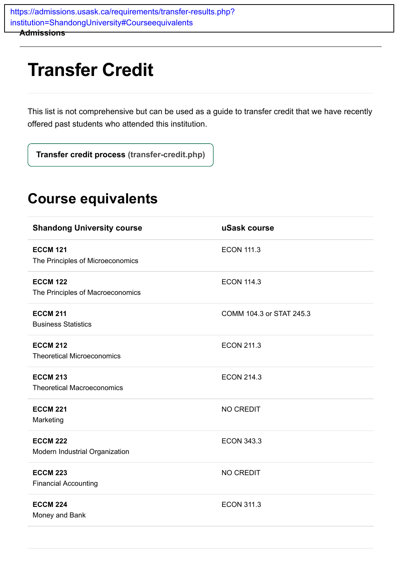**Admissions** [https://admissions.usask.ca/requirements/transfer-results.php?](https://admissions.usask.ca/requirements/transfer-results.php?institution=ShandongUniversity#Courseequivalents) institution=ShandongUniversity#Courseequivalents

## **Transfer Credit**

This list is not comprehensive but can be used as a guide to transfer credit that we have recently offered past students who attended this institution.

**[Transfer credit process \(transfer-credit.php\)](https://admissions.usask.ca/requirements/transfer-credit.php)**

## **Course equivalents**

| <b>Shandong University course</b>                    | uSask course             |
|------------------------------------------------------|--------------------------|
| <b>ECCM 121</b><br>The Principles of Microeconomics  | <b>ECON 111.3</b>        |
| <b>ECCM 122</b><br>The Principles of Macroeconomics  | <b>ECON 114.3</b>        |
| <b>ECCM 211</b><br><b>Business Statistics</b>        | COMM 104.3 or STAT 245.3 |
| <b>ECCM 212</b><br><b>Theoretical Microeconomics</b> | <b>ECON 211.3</b>        |
| <b>ECCM 213</b><br><b>Theoretical Macroeconomics</b> | <b>ECON 214.3</b>        |
| <b>ECCM 221</b><br>Marketing                         | <b>NO CREDIT</b>         |
| <b>ECCM 222</b><br>Modern Industrial Organization    | <b>ECON 343.3</b>        |
| <b>ECCM 223</b><br><b>Financial Accounting</b>       | <b>NO CREDIT</b>         |
| <b>ECCM 224</b><br>Money and Bank                    | <b>ECON 311.3</b>        |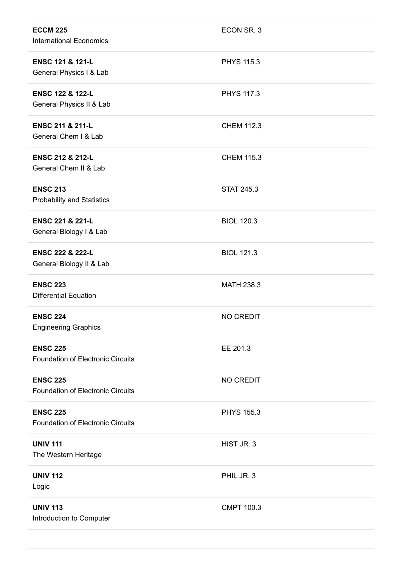| <b>ECCM 225</b><br><b>International Economics</b>           | ECON SR. 3        |
|-------------------------------------------------------------|-------------------|
| <b>ENSC 121 &amp; 121-L</b><br>General Physics I & Lab      | <b>PHYS 115.3</b> |
| <b>ENSC 122 &amp; 122-L</b><br>General Physics II & Lab     | <b>PHYS 117.3</b> |
| <b>ENSC 211 &amp; 211-L</b><br>General Chem I & Lab         | <b>CHEM 112.3</b> |
| <b>ENSC 212 &amp; 212-L</b><br>General Chem II & Lab        | <b>CHEM 115.3</b> |
| <b>ENSC 213</b><br><b>Probability and Statistics</b>        | <b>STAT 245.3</b> |
| <b>ENSC 221 &amp; 221-L</b><br>General Biology I & Lab      | <b>BIOL 120.3</b> |
| <b>ENSC 222 &amp; 222-L</b><br>General Biology II & Lab     | <b>BIOL 121.3</b> |
| <b>ENSC 223</b><br>Differential Equation                    | <b>MATH 238.3</b> |
| <b>ENSC 224</b><br><b>Engineering Graphics</b>              | NO CREDIT         |
| <b>ENSC 225</b><br><b>Foundation of Electronic Circuits</b> | EE 201.3          |
| <b>ENSC 225</b><br><b>Foundation of Electronic Circuits</b> | NO CREDIT         |
| <b>ENSC 225</b><br><b>Foundation of Electronic Circuits</b> | <b>PHYS 155.3</b> |
| <b>UNIV 111</b><br>The Western Heritage                     | HIST JR. 3        |
| <b>UNIV 112</b><br>Logic                                    | PHIL JR. 3        |
| <b>UNIV 113</b><br>Introduction to Computer                 | <b>CMPT 100.3</b> |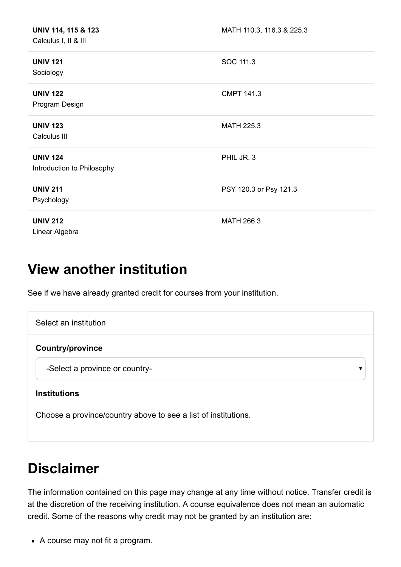| UNIV 114, 115 & 123<br>Calculus I, II & III   | MATH 110.3, 116.3 & 225.3 |
|-----------------------------------------------|---------------------------|
| <b>UNIV 121</b><br>Sociology                  | SOC 111.3                 |
| <b>UNIV 122</b><br>Program Design             | <b>CMPT 141.3</b>         |
| <b>UNIV 123</b><br>Calculus III               | <b>MATH 225.3</b>         |
| <b>UNIV 124</b><br>Introduction to Philosophy | PHIL JR. 3                |
| <b>UNIV 211</b><br>Psychology                 | PSY 120.3 or Psy 121.3    |
| <b>UNIV 212</b><br>Linear Algebra             | MATH 266.3                |

## **View another institution**

See if we have already granted credit for courses from your institution.

| Select an institution                                          |  |
|----------------------------------------------------------------|--|
| <b>Country/province</b>                                        |  |
| -Select a province or country-                                 |  |
| <b>Institutions</b>                                            |  |
| Choose a province/country above to see a list of institutions. |  |

## **Disclaimer**

The information contained on this page may change at any time without notice. Transfer credit is at the discretion of the receiving institution. A course equivalence does not mean an automatic credit. Some of the reasons why credit may not be granted by an institution are:

A course may not fit a program.